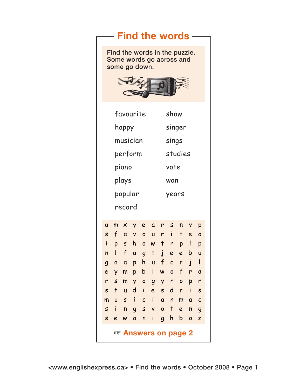## $-$  Find the words  $-$

Find the words in the puzzle. Some words go across and some go down.



|              | favourite                    |                           |                |                |                |                | show         |              |              |                |  |
|--------------|------------------------------|---------------------------|----------------|----------------|----------------|----------------|--------------|--------------|--------------|----------------|--|
|              | happy                        |                           |                |                |                |                | singer       |              |              |                |  |
|              | musician                     |                           |                |                |                |                | sings        |              |              |                |  |
|              | perform                      |                           |                |                |                |                | studies      |              |              |                |  |
|              | piano                        |                           |                |                |                |                | vote         |              |              |                |  |
|              | plays                        |                           |                |                |                |                | won          |              |              |                |  |
|              | popular                      |                           |                |                |                |                | years        |              |              |                |  |
|              | record                       |                           |                |                |                |                |              |              |              |                |  |
|              |                              |                           |                |                |                |                |              |              |              |                |  |
| $\alpha$     | m                            | $\times$                  | Y              | e              | a              | r              | S            | n            | V            | p              |  |
| S            | f                            | $\overline{a}$            | $\mathsf{V}$   | $\mathbf{o}$   | ū              | r              | i            | t            | e            | $\mathbf{o}$   |  |
| $\mathbf{i}$ | p                            | $\boldsymbol{\mathsf{S}}$ | h              | $\mathbf{o}$   | W              | $\ddagger$     | r            | p            | $\mathsf{l}$ | p              |  |
| n            | I                            | f                         | a              | $\overline{g}$ | $\ddagger$     | $\dot{J}$      | e            | e            | b            | ū              |  |
| 9            | a                            | $\alpha$                  | p              | h              | ū              | f              | $\mathsf{C}$ | r            | $\dot{I}$    | $\mathsf{I}$   |  |
| e            | Y                            | m                         | p              | b              | I              | W              | $\mathbf{o}$ | f            | r            | a              |  |
| r            | S                            | m                         | Y              | $\mathbf{o}$   | $\overline{g}$ | Y              | r            | $\mathbf{o}$ | p            | r              |  |
| S            | $\ddagger$                   | ū                         | d              | i              | e              | S              | d            | r            | i            | S              |  |
| m            | U                            | $\mathsf{s}$              | i              | $\mathsf{C}$   | $\mathbf{i}$   | $\mathbf{a}$   | n            | m            | a            | $\mathsf{C}$   |  |
| $\mathsf{s}$ | i                            | n                         | $\overline{g}$ | S              | V              | $\overline{O}$ | $\mathsf{t}$ | e            | n            | $\overline{g}$ |  |
| S            | e                            | W                         | $\overline{O}$ | n              | i              | $\overline{g}$ | h            | b            | $\mathbf{o}$ | Z              |  |
|              | <i>ष्ट</i> Answers on page 2 |                           |                |                |                |                |              |              |              |                |  |